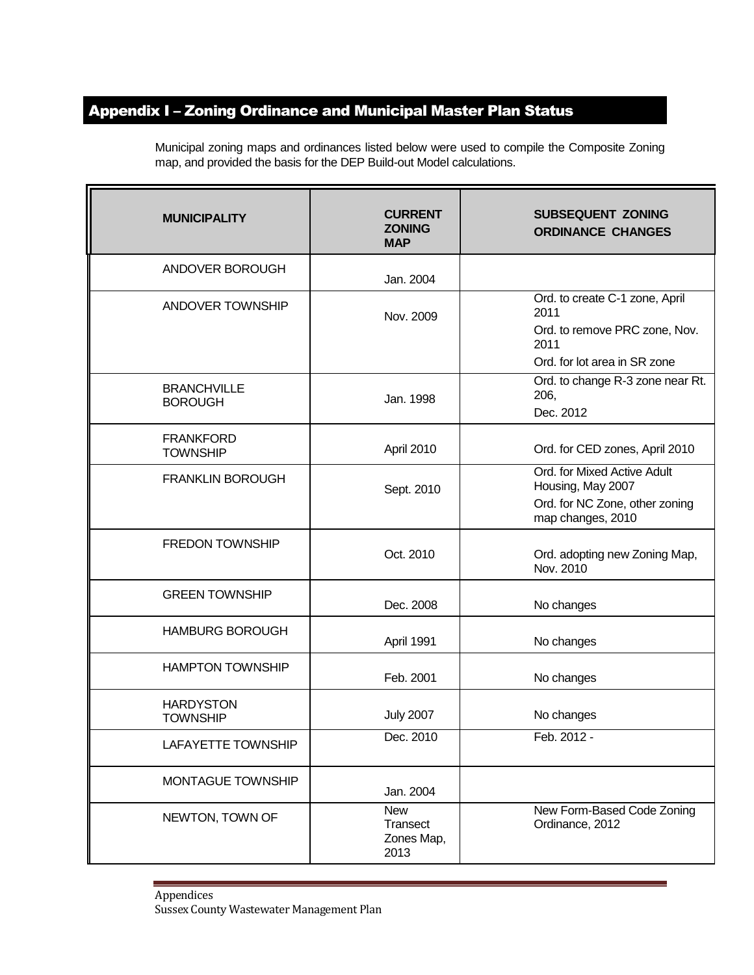## Appendix I – Zoning Ordinance and Municipal Master Plan Status

| <b>MUNICIPALITY</b>                  | <b>CURRENT</b><br><b>ZONING</b><br><b>MAP</b> | <b>SUBSEQUENT ZONING</b><br><b>ORDINANCE CHANGES</b>                                                            |
|--------------------------------------|-----------------------------------------------|-----------------------------------------------------------------------------------------------------------------|
| ANDOVER BOROUGH                      | Jan. 2004                                     |                                                                                                                 |
| ANDOVER TOWNSHIP                     | Nov. 2009                                     | Ord. to create C-1 zone, April<br>2011<br>Ord. to remove PRC zone, Nov.<br>2011<br>Ord. for lot area in SR zone |
| <b>BRANCHVILLE</b><br><b>BOROUGH</b> | Jan. 1998                                     | Ord. to change R-3 zone near Rt.<br>206,<br>Dec. 2012                                                           |
| <b>FRANKFORD</b><br><b>TOWNSHIP</b>  | April 2010                                    | Ord. for CED zones, April 2010                                                                                  |
| <b>FRANKLIN BOROUGH</b>              | Sept. 2010                                    | Ord. for Mixed Active Adult<br>Housing, May 2007<br>Ord. for NC Zone, other zoning<br>map changes, 2010         |
| <b>FREDON TOWNSHIP</b>               | Oct. 2010                                     | Ord. adopting new Zoning Map,<br>Nov. 2010                                                                      |
| <b>GREEN TOWNSHIP</b>                | Dec. 2008                                     | No changes                                                                                                      |
| <b>HAMBURG BOROUGH</b>               | April 1991                                    | No changes                                                                                                      |
| <b>HAMPTON TOWNSHIP</b>              | Feb. 2001                                     | No changes                                                                                                      |
| <b>HARDYSTON</b><br><b>TOWNSHIP</b>  | <b>July 2007</b>                              | No changes                                                                                                      |
| LAFAYETTE TOWNSHIP                   | Dec. 2010                                     | Feb. 2012 -                                                                                                     |
| MONTAGUE TOWNSHIP                    | Jan. 2004                                     |                                                                                                                 |
| NEWTON, TOWN OF                      | <b>New</b><br>Transect<br>Zones Map,<br>2013  | New Form-Based Code Zoning<br>Ordinance, 2012                                                                   |

Municipal zoning maps and ordinances listed below were used to compile the Composite Zoning map, and provided the basis for the DEP Build-out Model calculations.

Appendices Sussex County Wastewater Management Plan